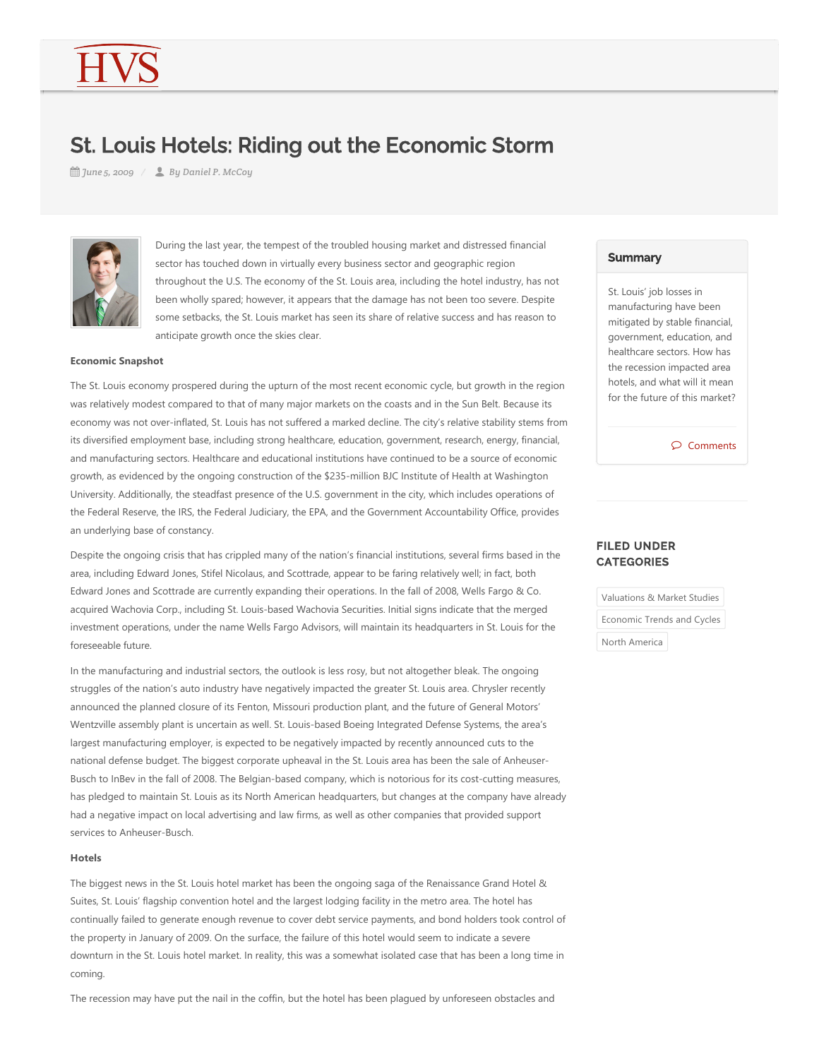# St. Louis Hotels: Riding out the Economic Storm

*June 5, 2009 By Daniel P. McCoy*



During the last year, the tempest of the troubled housing market and distressed financial sector has touched down in virtually every business sector and geographic region throughout the U.S. The economy of the St. Louis area, including the hotel industry, has not been wholly spared; however, it appears that the damage has not been too severe. Despite some setbacks, the St. Louis market has seen its share of relative success and has reason to anticipate growth once the skies clear.

### **Economic Snapshot**

The St. Louis economy prospered during the upturn of the most recent economic cycle, but growth in the region was relatively modest compared to that of many major markets on the coasts and in the Sun Belt. Because its economy was not over-inflated, St. Louis has not suffered a marked decline. The city's relative stability stems from its diversified employment base, including strong healthcare, education, government, research, energy, financial, and manufacturing sectors. Healthcare and educational institutions have continued to be a source of economic growth, as evidenced by the ongoing construction of the \$235-million BJC Institute of Health at Washington University. Additionally, the steadfast presence of the U.S. government in the city, which includes operations of the Federal Reserve, the IRS, the Federal Judiciary, the EPA, and the Government Accountability Office, provides an underlying base of constancy.

Despite the ongoing crisis that has crippled many of the nation's financial institutions, several firms based in the area, including Edward Jones, Stifel Nicolaus, and Scottrade, appear to be faring relatively well; in fact, both Edward Jones and Scottrade are currently expanding their operations. In the fall of 2008, Wells Fargo & Co. acquired Wachovia Corp., including St. Louis‐based Wachovia Securities. Initial signs indicate that the merged investment operations, under the name Wells Fargo Advisors, will maintain its headquarters in St. Louis for the foreseeable future.

In the manufacturing and industrial sectors, the outlook is less rosy, but not altogether bleak. The ongoing struggles of the nation's auto industry have negatively impacted the greater St. Louis area. Chrysler recently announced the planned closure of its Fenton, Missouri production plant, and the future of General Motors' Wentzville assembly plant is uncertain as well. St. Louis-based Boeing Integrated Defense Systems, the area's largest manufacturing employer, is expected to be negatively impacted by recently announced cuts to the national defense budget. The biggest corporate upheaval in the St. Louis area has been the sale of Anheuser-Busch to InBev in the fall of 2008. The Belgian-based company, which is notorious for its cost-cutting measures, has pledged to maintain St. Louis as its North American headquarters, but changes at the company have already had a negative impact on local advertising and law firms, as well as other companies that provided support services to Anheuser‐Busch.

### **Hotels**

The biggest news in the St. Louis hotel market has been the ongoing saga of the Renaissance Grand Hotel & Suites, St. Louis' flagship convention hotel and the largest lodging facility in the metro area. The hotel has continually failed to generate enough revenue to cover debt service payments, and bond holders took control of the property in January of 2009. On the surface, the failure of this hotel would seem to indicate a severe downturn in the St. Louis hotel market. In reality, this was a somewhat isolated case that has been a long time in coming.

The recession may have put the nail in the coffin, but the hotel has been plagued by unforeseen obstacles and

## **Summary**

St. Louis' job losses in manufacturing have been mitigated by stable financial, government, education, and healthcare sectors. How has the recession impacted area hotels, and what will it mean for the future of this market?

Comments

## FILED UNDER **CATEGORIES**

Valuations & Market Studies Economic Trends and Cycles North America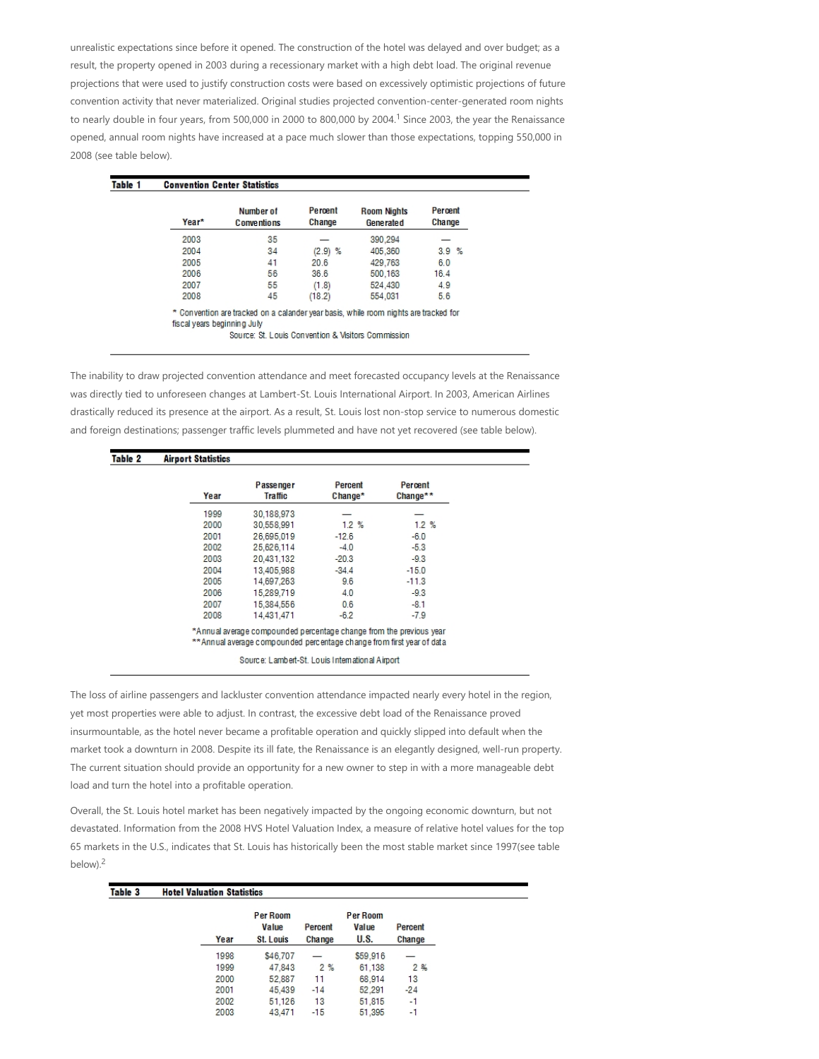unrealistic expectations since before it opened. The construction of the hotel was delayed and over budget; as a result, the property opened in 2003 during a recessionary market with a high debt load. The original revenue projections that were used to justify construction costs were based on excessively optimistic projections of future convention activity that never materialized. Original studies projected convention‐center‐generated room nights to nearly double in four years, from 500,000 in 2000 to 800,000 by 2004.<sup>1</sup> Since 2003, the year the Renaissance opened, annual room nights have increased at a pace much slower than those expectations, topping 550,000 in 2008 (see table below).

| Year* | Number of<br>C onventions | Percent<br>Change | <b>Room Nights</b><br><b>Generated</b> | Percent<br>Change |
|-------|---------------------------|-------------------|----------------------------------------|-------------------|
| 2003  | 35                        |                   | 390.294                                |                   |
| 2004  | 34                        | $(2.9)$ %         | 405,360                                | 3.9%              |
| 2005  | 41                        | 20.6              | 429,763                                | 6.0               |
| 2006  | 56                        | 36.6              | 500.163                                | 16.4              |
| 2007  | 55                        | (1.8)             | 524.430                                | 4.9               |
| 2008  | 45                        | (18.2)            | 554,031                                | 5.6               |

Source: St. Louis Convention & Visitors Commission

The inability to draw projected convention attendance and meet forecasted occupancy levels at the Renaissance was directly tied to unforeseen changes at Lambert‐St. Louis International Airport. In 2003, American Airlines drastically reduced its presence at the airport. As a result, St. Louis lost non‐stop service to numerous domestic and foreign destinations; passenger traffic levels plummeted and have not yet recovered (see table below).

| Table 2 | <b>Airport Statistics</b> |                             |                    |                     |
|---------|---------------------------|-----------------------------|--------------------|---------------------|
|         | Year                      | Passenger<br><b>Traffic</b> | Percent<br>Change* | Percent<br>Change** |
|         | 1999                      | 30.188.973                  |                    |                     |
|         | 2000                      | 30,558,991                  | 1.2%               | 1.2%                |
|         | 2001                      | 26.695.019                  | $-12.6$            | $-6.0$              |
|         | 2002                      | 25,626,114                  | $-4.0$             | $-5.3$              |
|         | 2003                      | 20.431.132                  | $-20.3$            | $-9.3$              |
|         | 2004                      | 13.405.988                  | $-34.4$            | $-15.0$             |
|         | 2005                      | 14.697.263                  | 9.6                | $-11.3$             |
|         | 2006                      | 15,289,719                  | 4.0                | $-9.3$              |
|         | 2007                      | 15.384.556                  | 0.6                | $-8.1$              |
|         | 2008                      | 14,431,471                  | $-6.2$             | $-7.9$              |

\*\* Annual average compounded percentage change from first year of data

Source: Lambert-St. Louis International Airport

The loss of airline passengers and lackluster convention attendance impacted nearly every hotel in the region, yet most properties were able to adjust. In contrast, the excessive debt load of the Renaissance proved insurmountable, as the hotel never became a profitable operation and quickly slipped into default when the market took a downturn in 2008. Despite its ill fate, the Renaissance is an elegantly designed, well‐run property. The current situation should provide an opportunity for a new owner to step in with a more manageable debt load and turn the hotel into a profitable operation.

Overall, the St. Louis hotel market has been negatively impacted by the ongoing economic downturn, but not devastated. Information from the 2008 HVS Hotel Valuation Index, a measure of relative hotel values for the top 65 markets in the U.S., indicates that St. Louis has historically been the most stable market since 1997(see table below).<sup>2</sup>

| Table 3 | <b>Hotel Valuation Statistics</b> |                                       |                   |                           |                   |
|---------|-----------------------------------|---------------------------------------|-------------------|---------------------------|-------------------|
|         | Year                              | Per Room<br>Value<br><b>St. Louis</b> | Percent<br>Change | Per Room<br>Value<br>U.S. | Percent<br>Change |
|         | 1998                              | \$46,707                              |                   | \$59,916                  |                   |
|         | 1999                              | 47.843                                | 2%                | 61.138                    | 2%                |
|         | 2000                              | 52.887                                | 11                | 68.914                    | 13                |
|         | 2001                              | 45,439                                | $-14$             | 52.291                    | $-24$             |
|         | 2002                              | 51.126                                | 13                | 51.815                    | -1                |
|         | 2003                              | 43.471                                | $-15$             | 51.395                    | -1                |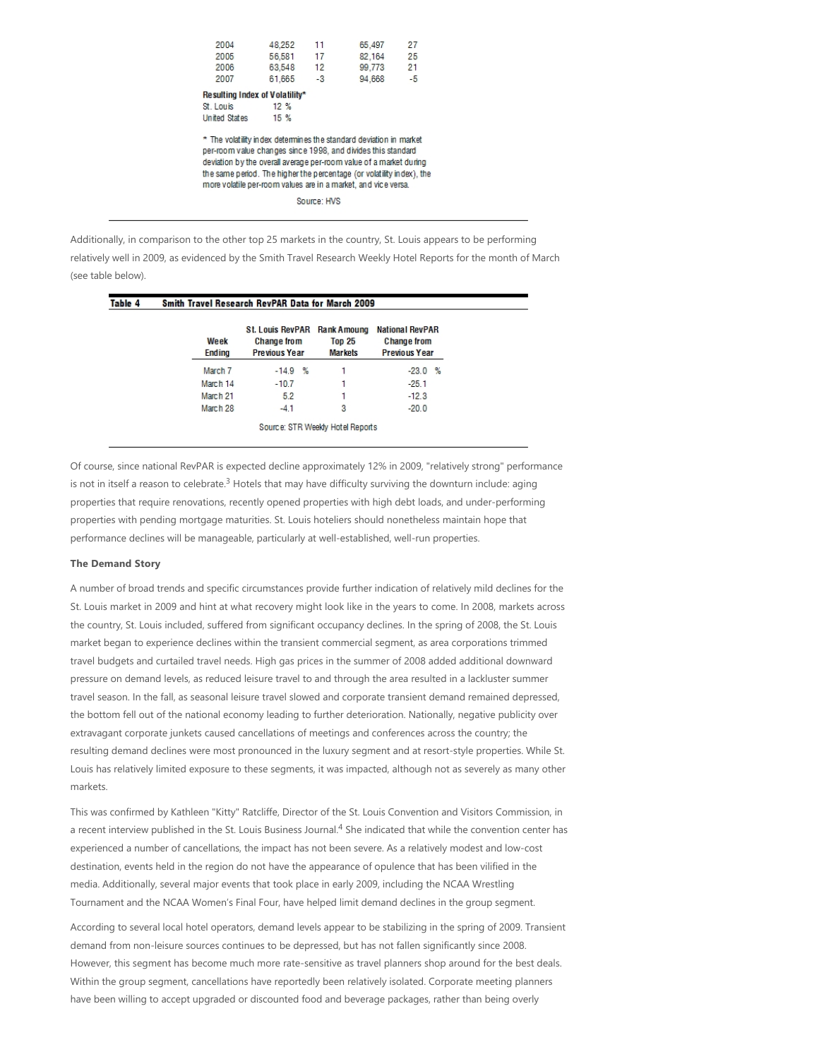| 2004<br>2005                   | 48.252<br>56.581 | 11<br>17   | 65,497<br>82.164                                                                                                                                                                                                                                                                                                                                    | 27<br>25   |
|--------------------------------|------------------|------------|-----------------------------------------------------------------------------------------------------------------------------------------------------------------------------------------------------------------------------------------------------------------------------------------------------------------------------------------------------|------------|
| 2006<br>2007                   | 63.548<br>61.665 | 12<br>$-3$ | 99.773<br>94.668                                                                                                                                                                                                                                                                                                                                    | 21<br>$-5$ |
| Resulting Index of Volatility* |                  |            |                                                                                                                                                                                                                                                                                                                                                     |            |
| St. Louis                      | 12%              |            |                                                                                                                                                                                                                                                                                                                                                     |            |
| <b>United States</b>           | 15%              |            |                                                                                                                                                                                                                                                                                                                                                     |            |
|                                |                  |            | * The volatility index determines the standard deviation in market<br>per-room value changes since 1998, and divides this standard<br>deviation by the overall average per-room value of a market during<br>the same period. The higher the percentage (or volatility index), the<br>more volatile per-room values are in a market, and vice versa. |            |

Source: HVS

Additionally, in comparison to the other top 25 markets in the country, St. Louis appears to be performing relatively well in 2009, as evidenced by the Smith Travel Research Weekly Hotel Reports for the month of March (see table below).

| Table 4 |                       | Smith Travel Research RevPAR Data for March 2009                      |                                                       |                                                                      |
|---------|-----------------------|-----------------------------------------------------------------------|-------------------------------------------------------|----------------------------------------------------------------------|
|         | Week<br><b>Ending</b> | <b>St. Louis RevPAR</b><br><b>Change from</b><br><b>Previous Year</b> | <b>Rank Amoung</b><br><b>Top 25</b><br><b>Markets</b> | <b>National RevPAR</b><br><b>Change from</b><br><b>Previous Year</b> |
|         | March 7               | $-14.9%$                                                              |                                                       | $-23.0%$                                                             |
|         | March 14              | $-10.7$                                                               |                                                       | $-25.1$                                                              |
|         | March 21              | 5.2                                                                   |                                                       | $-12.3$                                                              |
|         | March 28              | $-4.1$                                                                | 3                                                     | $-20.0$                                                              |

Of course, since national RevPAR is expected decline approximately 12% in 2009, "relatively strong" performance is not in itself a reason to celebrate.<sup>3</sup> Hotels that may have difficulty surviving the downturn include: aging properties that require renovations, recently opened properties with high debt loads, and under‐performing properties with pending mortgage maturities. St. Louis hoteliers should nonetheless maintain hope that performance declines will be manageable, particularly at well-established, well-run properties.

#### **The Demand Story**

A number of broad trends and specific circumstances provide further indication of relatively mild declines for the St. Louis market in 2009 and hint at what recovery might look like in the years to come. In 2008, markets across the country, St. Louis included, suffered from significant occupancy declines. In the spring of 2008, the St. Louis market began to experience declines within the transient commercial segment, as area corporations trimmed travel budgets and curtailed travel needs. High gas prices in the summer of 2008 added additional downward pressure on demand levels, as reduced leisure travel to and through the area resulted in a lackluster summer travel season. In the fall, as seasonal leisure travel slowed and corporate transient demand remained depressed, the bottom fell out of the national economy leading to further deterioration. Nationally, negative publicity over extravagant corporate junkets caused cancellations of meetings and conferences across the country; the resulting demand declines were most pronounced in the luxury segment and at resort‐style properties. While St. Louis has relatively limited exposure to these segments, it was impacted, although not as severely as many other markets.

This was confirmed by Kathleen "Kitty" Ratcliffe, Director of the St. Louis Convention and Visitors Commission, in a recent interview published in the St. Louis Business Journal.<sup>4</sup> She indicated that while the convention center has experienced a number of cancellations, the impact has not been severe. As a relatively modest and low‐cost destination, events held in the region do not have the appearance of opulence that has been vilified in the media. Additionally, several major events that took place in early 2009, including the NCAA Wrestling Tournament and the NCAA Women's Final Four, have helped limit demand declines in the group segment.

According to several local hotel operators, demand levels appear to be stabilizing in the spring of 2009. Transient demand from non‐leisure sources continues to be depressed, but has not fallen significantly since 2008. However, this segment has become much more rate-sensitive as travel planners shop around for the best deals. Within the group segment, cancellations have reportedly been relatively isolated. Corporate meeting planners have been willing to accept upgraded or discounted food and beverage packages, rather than being overly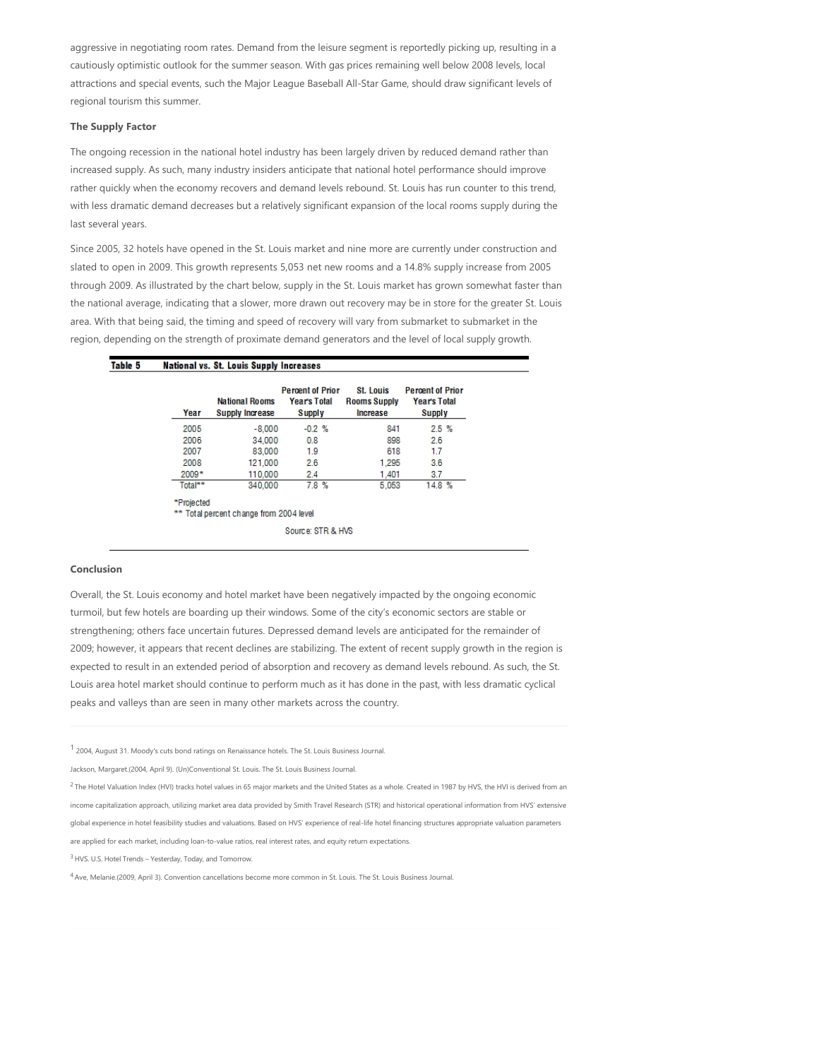aggressive in negotiating room rates. Demand from the leisure segment is reportedly picking up, resulting in a cautiously optimistic outlook for the summer season. With gas prices remaining well below 2008 levels, local attractions and special events, such the Major League Baseball All‐Star Game, should draw significant levels of regional tourism this summer.

## **The Supply Factor**

The ongoing recession in the national hotel industry has been largely driven by reduced demand rather than increased supply. As such, many industry insiders anticipate that national hotel performance should improve rather quickly when the economy recovers and demand levels rebound. St. Louis has run counter to this trend, with less dramatic demand decreases but a relatively significant expansion of the local rooms supply during the last several years.

Since 2005, 32 hotels have opened in the St. Louis market and nine more are currently under construction and slated to open in 2009. This growth represents 5,053 net new rooms and a 14.8% supply increase from 2005 through 2009. As illustrated by the chart below, supply in the St. Louis market has grown somewhat faster than the national average, indicating that a slower, more drawn out recovery may be in store for the greater St. Louis area. With that being said, the timing and speed of recovery will vary from submarket to submarket in the region, depending on the strength of proximate demand generators and the level of local supply growth.

| Table 5 | <b>National vs. St. Louis Supply Increases</b> |
|---------|------------------------------------------------|
|         |                                                |

| Year       | <b>National Rooms</b><br><b>Supply Increase</b> | <b>Percent of Prior</b><br>Year's Total<br><b>Supply</b> | St. Louis<br><b>Rooms Supply</b><br>Increase | <b>Percent of Prior</b><br><b>Year's Total</b><br>Supply |
|------------|-------------------------------------------------|----------------------------------------------------------|----------------------------------------------|----------------------------------------------------------|
| 2005       | $-8.000$                                        | $-0.2%$                                                  | 841                                          | 2.5%                                                     |
| 2006       | 34.000                                          | 0.8                                                      | 898                                          | 26                                                       |
| 2007       | 83,000                                          | 1.9                                                      | 618                                          | 1.7                                                      |
| 2008       | 121,000                                         | 2.6                                                      | 1.295                                        | 3.6                                                      |
| $2009*$    | 110.000                                         | 2.4                                                      | 1.401                                        | 3.7                                                      |
| Total**    | 340,000                                         | 7.8%                                                     | 5.053                                        | 14.8%                                                    |
| *Projected | ** Total percent change from 2004 level         |                                                          |                                              |                                                          |
|            |                                                 | Source: STR & HVS                                        |                                              |                                                          |

## **Conclusion**

Overall, the St. Louis economy and hotel market have been negatively impacted by the ongoing economic turmoil, but few hotels are boarding up their windows. Some of the city's economic sectors are stable or strengthening; others face uncertain futures. Depressed demand levels are anticipated for the remainder of 2009; however, it appears that recent declines are stabilizing. The extent of recent supply growth in the region is expected to result in an extended period of absorption and recovery as demand levels rebound. As such, the St. Louis area hotel market should continue to perform much as it has done in the past, with less dramatic cyclical peaks and valleys than are seen in many other markets across the country.

<sup>1</sup> 2004, August 31. Moody's cuts bond ratings on Renaissance hotels. The St. Louis Business Journal.

 $^2$  The Hotel Valuation Index (HVI) tracks hotel values in 65 major markets and the United States as a whole. Created in 1987 by HVS, the HVI is derived from an income capitalization approach, utilizing market area data provided by Smith Travel Research (STR) and historical operational information from HVS' extensive

global experience in hotel feasibility studies and valuations. Based on HVS' experience of real-life hotel financing structures appropriate valuation parameters

are applied for each market, including loan‐to‐value ratios, real interest rates, and equity return expectations.

<sup>3</sup> HVS. U.S. Hotel Trends - Yesterday, Today, and Tomorrow.

<sup>4</sup> Ave, Melanie.(2009, April 3). Convention cancellations become more common in St. Louis. The St. Louis Business Journal.

Jackson, Margaret.(2004, April 9). (Un)Conventional St. Louis. The St. Louis Business Journal.